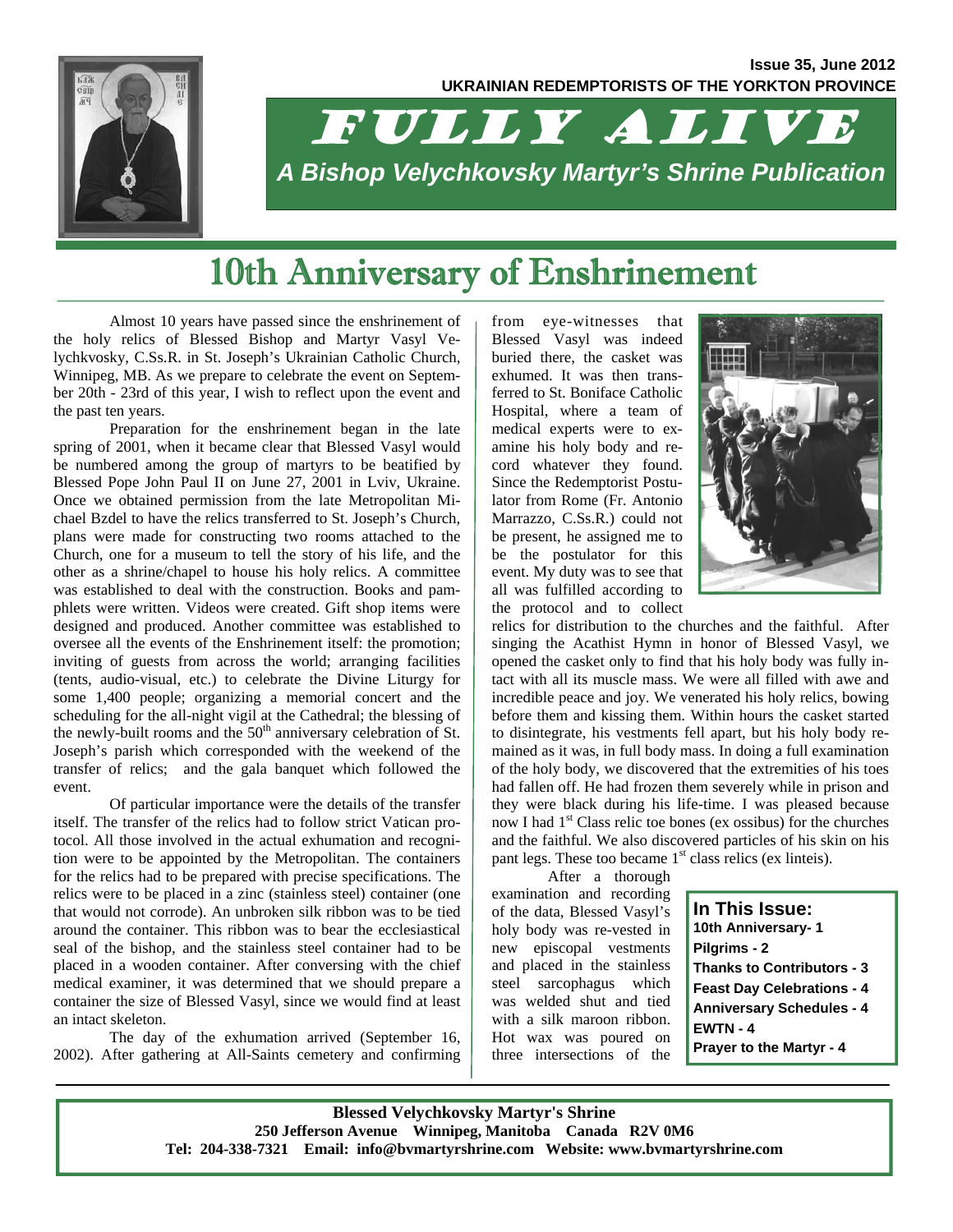

# FULLY ALIVE *A Bishop Velychkovsky Martyr's Shrine Publication*

## 10th Anniversary of Enshrinement

Almost 10 years have passed since the enshrinement of the holy relics of Blessed Bishop and Martyr Vasyl Velychkvosky, C.Ss.R. in St. Joseph's Ukrainian Catholic Church, Winnipeg, MB. As we prepare to celebrate the event on September 20th - 23rd of this year, I wish to reflect upon the event and the past ten years.

Preparation for the enshrinement began in the late spring of 2001, when it became clear that Blessed Vasyl would be numbered among the group of martyrs to be beatified by Blessed Pope John Paul II on June 27, 2001 in Lviv, Ukraine. Once we obtained permission from the late Metropolitan Michael Bzdel to have the relics transferred to St. Joseph's Church, plans were made for constructing two rooms attached to the Church, one for a museum to tell the story of his life, and the other as a shrine/chapel to house his holy relics. A committee was established to deal with the construction. Books and pamphlets were written. Videos were created. Gift shop items were designed and produced. Another committee was established to oversee all the events of the Enshrinement itself: the promotion; inviting of guests from across the world; arranging facilities (tents, audio-visual, etc.) to celebrate the Divine Liturgy for some 1,400 people; organizing a memorial concert and the scheduling for the all-night vigil at the Cathedral; the blessing of the newly-built rooms and the  $50<sup>th</sup>$  anniversary celebration of St. Joseph's parish which corresponded with the weekend of the transfer of relics; and the gala banquet which followed the event.

Of particular importance were the details of the transfer itself. The transfer of the relics had to follow strict Vatican protocol. All those involved in the actual exhumation and recognition were to be appointed by the Metropolitan. The containers for the relics had to be prepared with precise specifications. The relics were to be placed in a zinc (stainless steel) container (one that would not corrode). An unbroken silk ribbon was to be tied around the container. This ribbon was to bear the ecclesiastical seal of the bishop, and the stainless steel container had to be placed in a wooden container. After conversing with the chief medical examiner, it was determined that we should prepare a container the size of Blessed Vasyl, since we would find at least an intact skeleton.

The day of the exhumation arrived (September 16, 2002). After gathering at All-Saints cemetery and confirming from eye-witnesses that Blessed Vasyl was indeed buried there, the casket was exhumed. It was then transferred to St. Boniface Catholic Hospital, where a team of medical experts were to examine his holy body and record whatever they found. Since the Redemptorist Postulator from Rome (Fr. Antonio Marrazzo, C.Ss.R.) could not be present, he assigned me to be the postulator for this event. My duty was to see that all was fulfilled according to the protocol and to collect



relics for distribution to the churches and the faithful. After singing the Acathist Hymn in honor of Blessed Vasyl, we opened the casket only to find that his holy body was fully intact with all its muscle mass. We were all filled with awe and incredible peace and joy. We venerated his holy relics, bowing before them and kissing them. Within hours the casket started to disintegrate, his vestments fell apart, but his holy body remained as it was, in full body mass. In doing a full examination of the holy body, we discovered that the extremities of his toes had fallen off. He had frozen them severely while in prison and they were black during his life-time. I was pleased because now I had  $1<sup>st</sup>$  Class relic toe bones (ex ossibus) for the churches and the faithful. We also discovered particles of his skin on his pant legs. These too became  $1<sup>st</sup>$  class relics (ex linteis).

After a thorough examination and recording of the data, Blessed Vasyl's holy body was re-vested in new episcopal vestments and placed in the stainless steel sarcophagus which was welded shut and tied with a silk maroon ribbon. Hot wax was poured on three intersections of the

**In This Issue: 10th Anniversary- 1 Pilgrims - 2 Thanks to Contributors - 3 Feast Day Celebrations - 4 Anniversary Schedules - 4 EWTN - 4 Prayer to the Martyr - 4**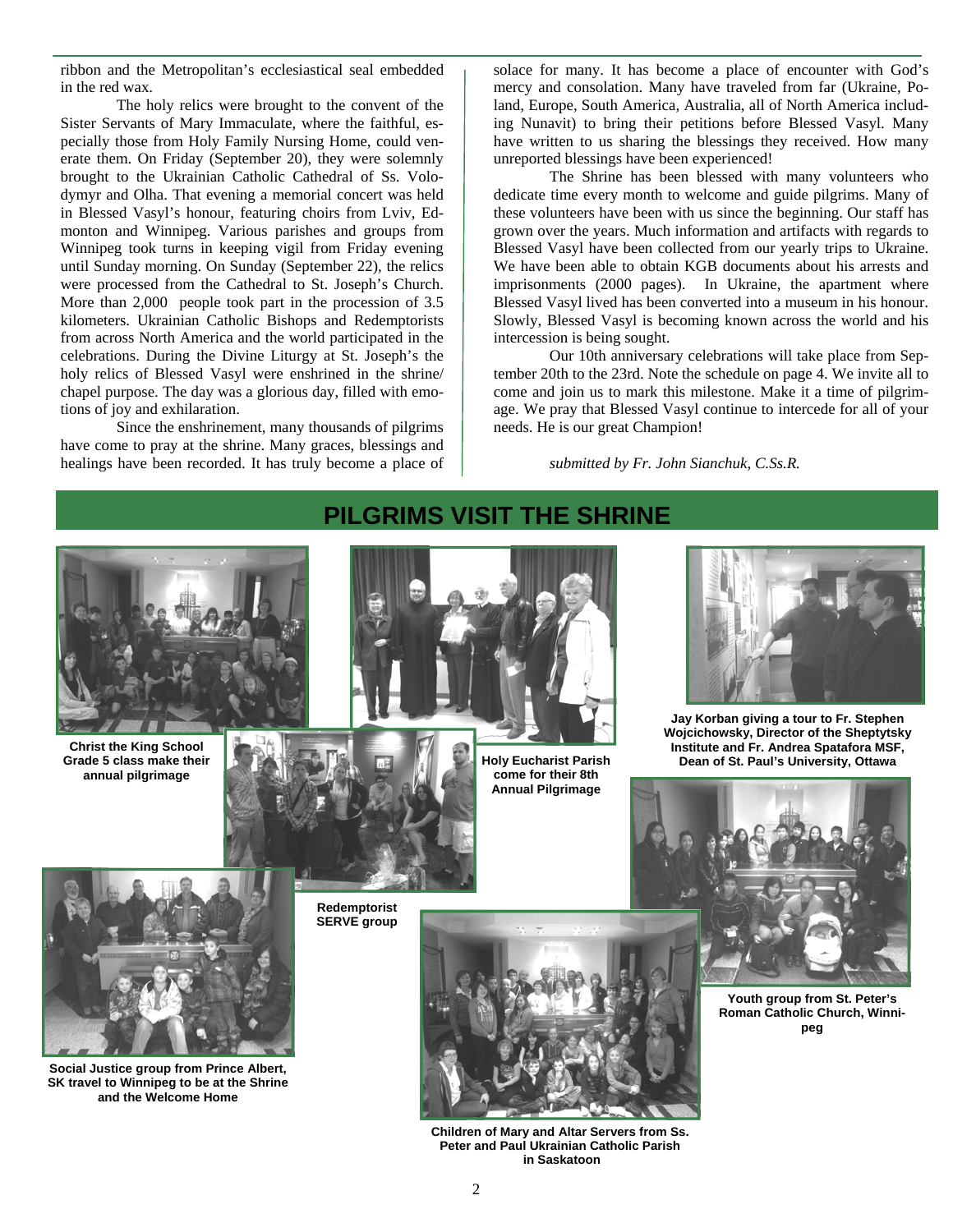ribbon and the Metropolitan's ecclesiastical seal embedded in the red wax.

The holy relics were brought to the convent of the Sister Servants of Mary Immaculate, where the faithful, especially those from Holy Family Nursing Home, could venerate them. On Friday (September 20), they were solemnly brought to the Ukrainian Catholic Cathedral of Ss. Volodymyr and Olha. That evening a memorial concert was held in Blessed Vasyl's honour, featuring choirs from Lviv, Edmonton and Winnipeg. Various parishes and groups from Winnipeg took turns in keeping vigil from Friday evening until Sunday morning. On Sunday (September 22), the relics were processed from the Cathedral to St. Joseph's Church. More than 2,000 people took part in the procession of 3.5 kilometers. Ukrainian Catholic Bishops and Redemptorists from across North America and the world participated in the celebrations. During the Divine Liturgy at St. Joseph's the holy relics of Blessed Vasyl were enshrined in the shrine/ chapel purpose. The day was a glorious day, filled with emotions of joy and exhilaration.

Since the enshrinement, many thousands of pilgrims have come to pray at the shrine. Many graces, blessings and healings have been recorded. It has truly become a place of

solace for many. It has become a place of encounter with God's mercy and consolation. Many have traveled from far (Ukraine, Poland, Europe, South America, Australia, all of North America including Nunavit) to bring their petitions before Blessed Vasyl. Many have written to us sharing the blessings they received. How many unreported blessings have been experienced!

The Shrine has been blessed with many volunteers who dedicate time every month to welcome and guide pilgrims. Many of these volunteers have been with us since the beginning. Our staff has grown over the years. Much information and artifacts with regards to Blessed Vasyl have been collected from our yearly trips to Ukraine. We have been able to obtain KGB documents about his arrests and imprisonments (2000 pages). In Ukraine, the apartment where Blessed Vasyl lived has been converted into a museum in his honour. Slowly, Blessed Vasyl is becoming known across the world and his intercession is being sought.

Our 10th anniversary celebrations will take place from September 20th to the 23rd. Note the schedule on page 4. We invite all to come and join us to mark this milestone. Make it a time of pilgrimage. We pray that Blessed Vasyl continue to intercede for all of your needs. He is our great Champion!

*submitted by Fr. John Sianchuk, C.Ss.R.* 



**Children of Mary and Altar Servers from Ss. Peter and Paul Ukrainian Catholic Parish in Saskatoon** 

### **PILGRIMS VISIT THE SHRINE**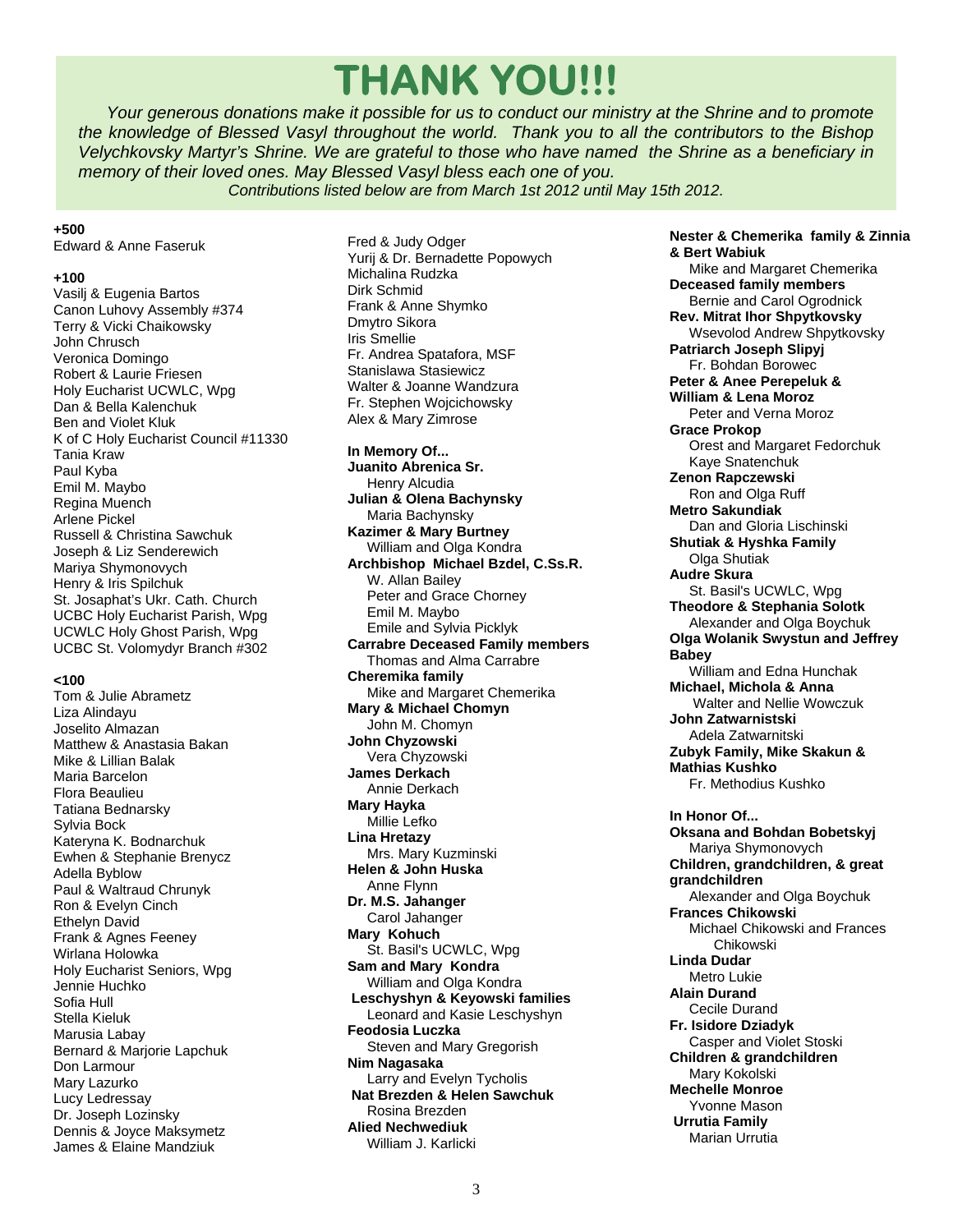## **THANK YOU!!!**

 *Your generous donations make it possible for us to conduct our ministry at the Shrine and to promote the knowledge of Blessed Vasyl throughout the world. Thank you to all the contributors to the Bishop Velychkovsky Martyr's Shrine. We are grateful to those who have named the Shrine as a beneficiary in memory of their loved ones. May Blessed Vasyl bless each one of you.* 

*Contributions listed below are from March 1st 2012 until May 15th 2012.*

#### **+500**

Edward & Anne Faseruk

### **+100**

Vasilj & Eugenia Bartos Canon Luhovy Assembly #374 Terry & Vicki Chaikowsky John Chrusch Veronica Domingo Robert & Laurie Friesen Holy Eucharist UCWLC, Wpg Dan & Bella Kalenchuk Ben and Violet Kluk K of C Holy Eucharist Council #11330 Tania Kraw Paul Kyba Emil M. Maybo Regina Muench Arlene Pickel Russell & Christina Sawchuk Joseph & Liz Senderewich Mariya Shymonovych Henry & Iris Spilchuk St. Josaphat's Ukr. Cath. Church UCBC Holy Eucharist Parish, Wpg UCWLC Holy Ghost Parish, Wpg UCBC St. Volomydyr Branch #302

#### **<100**

Tom & Julie Abrametz Liza Alindayu Joselito Almazan Matthew & Anastasia Bakan Mike & Lillian Balak Maria Barcelon Flora Beaulieu Tatiana Bednarsky Sylvia Bock Kateryna K. Bodnarchuk Ewhen & Stephanie Brenycz Adella Byblow Paul & Waltraud Chrunyk Ron & Evelyn Cinch Ethelyn David Frank & Agnes Feeney Wirlana Holowka Holy Eucharist Seniors, Wpg Jennie Huchko Sofia Hull Stella Kieluk Marusia Labay Bernard & Marjorie Lapchuk Don Larmour Mary Lazurko Lucy Ledressay Dr. Joseph Lozinsky Dennis & Joyce Maksymetz James & Elaine Mandziuk

Fred & Judy Odger Yurij & Dr. Bernadette Popowych Michalina Rudzka Dirk Schmid Frank & Anne Shymko Dmytro Sikora Iris Smellie Fr. Andrea Spatafora, MSF Stanislawa Stasiewicz Walter & Joanne Wandzura Fr. Stephen Wojcichowsky Alex & Mary Zimrose

#### **In Memory Of...**

**Juanito Abrenica Sr.**  Henry Alcudia **Julian & Olena Bachynsky**  Maria Bachynsky **Kazimer & Mary Burtney**  William and Olga Kondra **Archbishop Michael Bzdel, C.Ss.R.**  W. Allan Bailey Peter and Grace Chorney Emil M. Maybo Emile and Sylvia Picklyk **Carrabre Deceased Family members**  Thomas and Alma Carrabre **Cheremika family**  Mike and Margaret Chemerika **Mary & Michael Chomyn**  John M. Chomyn **John Chyzowski**  Vera Chyzowski **James Derkach**  Annie Derkach **Mary Hayka**  Millie Lefko **Lina Hretazy**  Mrs. Mary Kuzminski **Helen & John Huska**  Anne Flynn **Dr. M.S. Jahanger**  Carol Jahanger **Mary Kohuch**  St. Basil's UCWLC, Wpg **Sam and Mary Kondra**  William and Olga Kondra  **Leschyshyn & Keyowski families**  Leonard and Kasie Leschyshyn **Feodosia Luczka**  Steven and Mary Gregorish **Nim Nagasaka**  Larry and Evelyn Tycholis  **Nat Brezden & Helen Sawchuk**  Rosina Brezden **Alied Nechwediuk**  William J. Karlicki

**Nester & Chemerika family & Zinnia & Bert Wabiuk**  Mike and Margaret Chemerika **Deceased family members**  Bernie and Carol Ogrodnick **Rev. Mitrat Ihor Shpytkovsky**  Wsevolod Andrew Shpytkovsky **Patriarch Joseph Slipyj**  Fr. Bohdan Borowec **Peter & Anee Perepeluk & William & Lena Moroz**  Peter and Verna Moroz **Grace Prokop**  Orest and Margaret Fedorchuk Kaye Snatenchuk **Zenon Rapczewski**  Ron and Olga Ruff **Metro Sakundiak**  Dan and Gloria Lischinski **Shutiak & Hyshka Family**  Olga Shutiak **Audre Skura**  St. Basil's UCWLC, Wpg **Theodore & Stephania Solotk**  Alexander and Olga Boychuk **Olga Wolanik Swystun and Jeffrey Babey**  William and Edna Hunchak **Michael, Michola & Anna**  Walter and Nellie Wowczuk **John Zatwarnistski**  Adela Zatwarnitski **Zubyk Family, Mike Skakun & Mathias Kushko**  Fr. Methodius Kushko **In Honor Of... Oksana and Bohdan Bobetskyj**  Mariya Shymonovych **Children, grandchildren, & great grandchildren**  Alexander and Olga Boychuk **Frances Chikowski**  Michael Chikowski and Frances Chikowski **Linda Dudar**  Metro Lukie **Alain Durand**  Cecile Durand **Fr. Isidore Dziadyk**  Casper and Violet Stoski **Children & grandchildren**  Mary Kokolski **Mechelle Monroe**  Yvonne Mason  **Urrutia Family**  Marian Urrutia